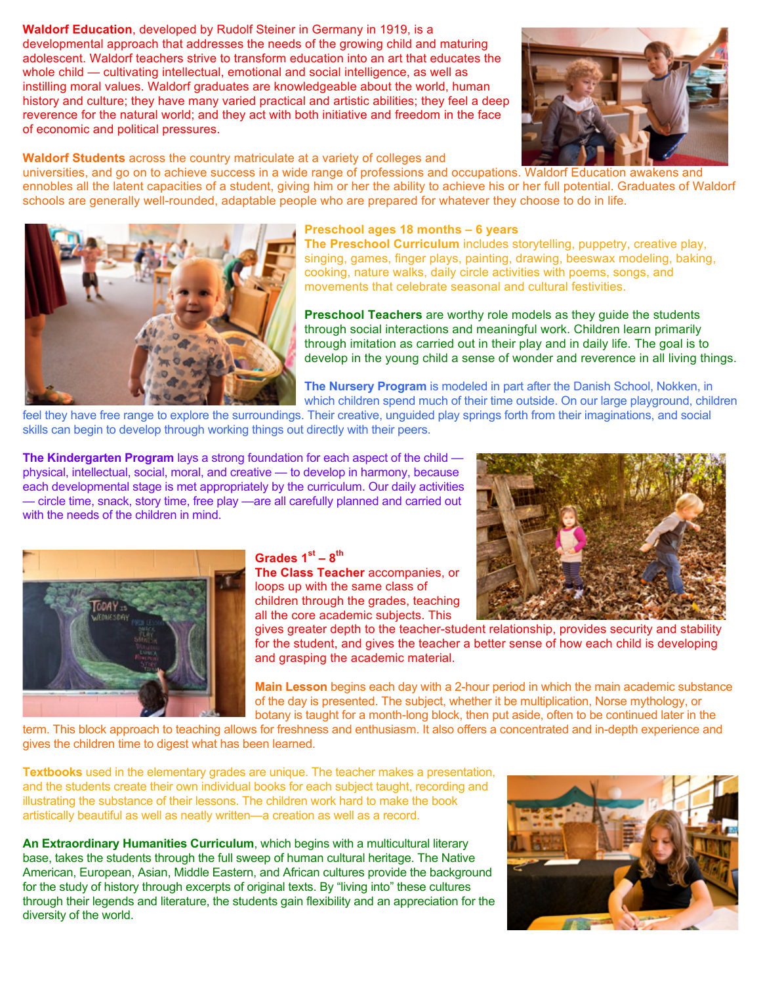## **Waldorf Education**, developed by Rudolf Steiner in Germany in 1919, is a

developmental approach that addresses the needs of the growing child and maturing adolescent. Waldorf teachers strive to transform education into an art that educates the whole child — cultivating intellectual, emotional and social intelligence, as well as instilling moral values. Waldorf graduates are knowledgeable about the world, human history and culture; they have many varied practical and artistic abilities; they feel a deep reverence for the natural world; and they act with both initiative and freedom in the face of economic and political pressures.

**Waldorf Students** across the country matriculate at a variety of colleges and

universities, and go on to achieve success in a wide range of professions and occupations. Waldorf Education awakens and ennobles all the latent capacities of a student, giving him or her the ability to achieve his or her full potential. Graduates of Waldorf schools are generally well-rounded, adaptable people who are prepared for whatever they choose to do in life.



## **Preschool ages 18 months – 6 years**

**The Preschool Curriculum** includes storytelling, puppetry, creative play, singing, games, finger plays, painting, drawing, beeswax modeling, baking, cooking, nature walks, daily circle activities with poems, songs, and movements that celebrate seasonal and cultural festivities.

**Preschool Teachers** are worthy role models as they guide the students through social interactions and meaningful work. Children learn primarily through imitation as carried out in their play and in daily life. The goal is to develop in the young child a sense of wonder and reverence in all living things.

**The Nursery Program** is modeled in part after the Danish School, Nokken, in which children spend much of their time outside. On our large playground, children

feel they have free range to explore the surroundings. Their creative, unguided play springs forth from their imaginations, and social skills can begin to develop through working things out directly with their peers.

**The Kindergarten Program** lays a strong foundation for each aspect of the child physical, intellectual, social, moral, and creative — to develop in harmony, because each developmental stage is met appropriately by the curriculum. Our daily activities — circle time, snack, story time, free play —are all carefully planned and carried out with the needs of the children in mind.



## **Grades 1st – 8th The Class Teacher** accompanies, or loops up with the same class of

children through the grades, teaching all the core academic subjects. This

gives greater depth to the teacher-student relationship, provides security and stability for the student, and gives the teacher a better sense of how each child is developing and grasping the academic material.

**Main Lesson** begins each day with a 2-hour period in which the main academic substance of the day is presented. The subject, whether it be multiplication, Norse mythology, or botany is taught for a month-long block, then put aside, often to be continued later in the

term. This block approach to teaching allows for freshness and enthusiasm. It also offers a concentrated and in-depth experience and gives the children time to digest what has been learned.

**Textbooks** used in the elementary grades are unique. The teacher makes a presentation, and the students create their own individual books for each subject taught, recording and illustrating the substance of their lessons. The children work hard to make the book artistically beautiful as well as neatly written—a creation as well as a record.

**An Extraordinary Humanities Curriculum**, which begins with a multicultural literary base, takes the students through the full sweep of human cultural heritage. The Native American, European, Asian, Middle Eastern, and African cultures provide the background for the study of history through excerpts of original texts. By "living into" these cultures through their legends and literature, the students gain flexibility and an appreciation for the diversity of the world.